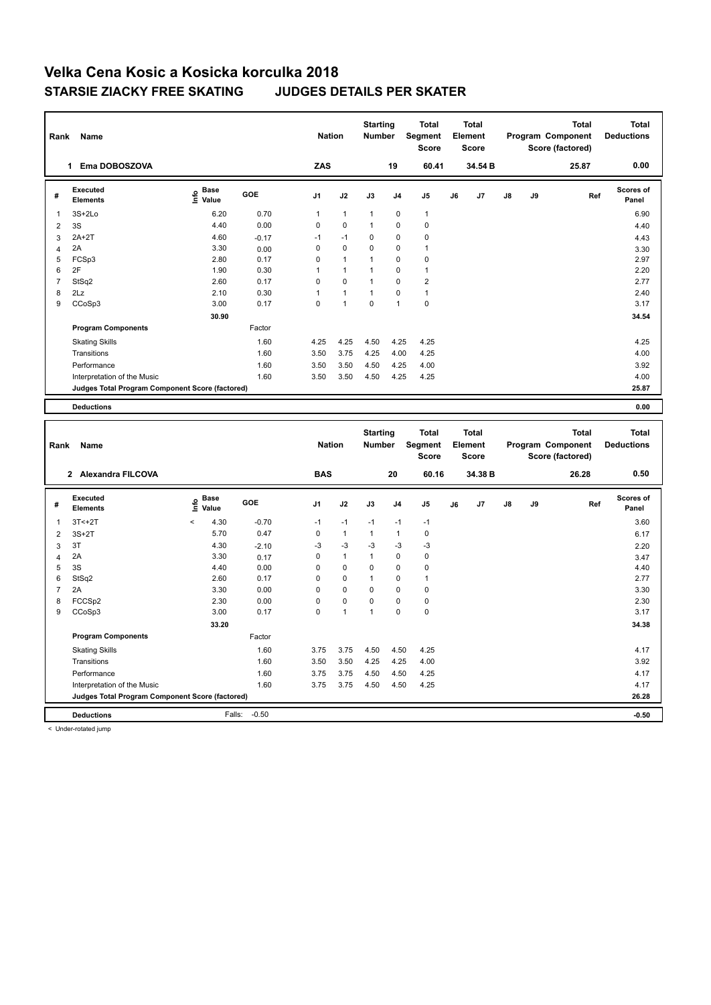| Rank                | Name                                            |                            |              | <b>Nation</b> |              | <b>Starting</b><br><b>Number</b> |              | <b>Total</b><br><b>Segment</b><br><b>Score</b> |    | <b>Total</b><br>Element<br>Score |    |    | <b>Total</b><br>Program Component<br>Score (factored) | <b>Total</b><br><b>Deductions</b> |
|---------------------|-------------------------------------------------|----------------------------|--------------|---------------|--------------|----------------------------------|--------------|------------------------------------------------|----|----------------------------------|----|----|-------------------------------------------------------|-----------------------------------|
|                     | 1 Ema DOBOSZOVA                                 |                            |              | ZAS           |              |                                  | 19           | 60.41                                          |    | 34.54 B                          |    |    | 25.87                                                 | 0.00                              |
| #                   | <b>Executed</b><br><b>Elements</b>              | e Base<br>E Value          | GOE          | J1            | J2           | J3                               | J4           | J5                                             | J6 | J7                               | J8 | J9 | Ref                                                   | Scores of<br>Panel                |
| $\mathbf{1}$        | $3S+2Lo$                                        | 6.20                       | 0.70         | $\mathbf{1}$  | $\mathbf{1}$ | $\mathbf{1}$                     | 0            | $\overline{1}$                                 |    |                                  |    |    |                                                       | 6.90                              |
| $\overline{2}$      | 3S                                              | 4.40                       | 0.00         | 0             | 0            | $\mathbf{1}$                     | 0            | $\mathbf 0$                                    |    |                                  |    |    |                                                       | 4.40                              |
| 3                   | $2A+2T$                                         | 4.60                       | $-0.17$      | $-1$          | $-1$         | 0                                | $\Omega$     | $\mathbf 0$                                    |    |                                  |    |    |                                                       | 4.43                              |
| 4                   | 2A                                              | 3.30                       | 0.00         | $\mathbf 0$   | $\pmb{0}$    | 0                                | 0            | $\overline{1}$                                 |    |                                  |    |    |                                                       | 3.30                              |
| 5                   | FCSp3                                           | 2.80                       | 0.17         | $\mathbf 0$   | 1            | $\mathbf{1}$                     | 0            | $\mathbf 0$                                    |    |                                  |    |    |                                                       | 2.97                              |
| 6                   | 2F                                              | 1.90                       | 0.30         | 1             | $\mathbf{1}$ | $\mathbf{1}$                     | 0            | $\mathbf{1}$                                   |    |                                  |    |    |                                                       | 2.20                              |
| $\overline{7}$      | StSq2                                           | 2.60                       | 0.17         | $\mathbf 0$   | 0            | $\mathbf{1}$                     | $\mathbf 0$  | $\overline{2}$                                 |    |                                  |    |    |                                                       | 2.77                              |
| 8                   | 2Lz                                             | 2.10                       | 0.30         | 1             | $\mathbf{1}$ | 1                                | $\pmb{0}$    | $\overline{1}$                                 |    |                                  |    |    |                                                       | 2.40                              |
| 9                   | CCoSp3                                          | 3.00                       | 0.17         | $\mathbf 0$   | $\mathbf{1}$ | 0                                | 1            | $\pmb{0}$                                      |    |                                  |    |    |                                                       | 3.17                              |
|                     |                                                 | 30.90                      |              |               |              |                                  |              |                                                |    |                                  |    |    |                                                       | 34.54                             |
|                     | <b>Program Components</b>                       |                            | Factor       |               |              |                                  |              |                                                |    |                                  |    |    |                                                       |                                   |
|                     | <b>Skating Skills</b>                           |                            | 1.60         | 4.25          | 4.25         | 4.50                             | 4.25         | 4.25                                           |    |                                  |    |    |                                                       | 4.25                              |
|                     | Transitions                                     |                            | 1.60         | 3.50          | 3.75         | 4.25                             | 4.00         | 4.25                                           |    |                                  |    |    |                                                       | 4.00                              |
|                     | Performance                                     |                            | 1.60         | 3.50          | 3.50         | 4.50                             | 4.25         | 4.00                                           |    |                                  |    |    |                                                       | 3.92                              |
|                     | Interpretation of the Music                     |                            | 1.60         | 3.50          | 3.50         | 4.50                             | 4.25         | 4.25                                           |    |                                  |    |    |                                                       | 4.00                              |
|                     | Judges Total Program Component Score (factored) |                            |              |               |              |                                  |              |                                                |    |                                  |    |    |                                                       | 25.87                             |
|                     |                                                 |                            |              |               |              |                                  |              |                                                |    |                                  |    |    |                                                       |                                   |
|                     | <b>Deductions</b>                               |                            |              |               |              |                                  |              |                                                |    |                                  |    |    |                                                       | 0.00                              |
|                     |                                                 |                            |              |               |              |                                  |              |                                                |    |                                  |    |    |                                                       |                                   |
|                     |                                                 |                            |              |               |              | <b>Starting</b>                  |              | <b>Total</b>                                   |    | <b>Total</b>                     |    |    | <b>Total</b>                                          | <b>Total</b>                      |
| Rank                | Name                                            |                            |              | <b>Nation</b> |              | Number                           |              | Segment                                        |    | Element                          |    |    | Program Component                                     | <b>Deductions</b>                 |
|                     |                                                 |                            |              |               |              |                                  |              | <b>Score</b>                                   |    | <b>Score</b>                     |    |    | Score (factored)                                      |                                   |
|                     | 2 Alexandra FILCOVA                             |                            |              | <b>BAS</b>    |              |                                  |              |                                                |    | 34.38 B                          |    |    | 26.28                                                 |                                   |
|                     |                                                 |                            |              |               |              |                                  | 20           | 60.16                                          |    |                                  |    |    |                                                       | 0.50                              |
| #                   | Executed                                        |                            |              |               |              |                                  |              |                                                |    |                                  |    |    |                                                       |                                   |
|                     | <b>Elements</b>                                 | e Base<br>E Value<br>Value | GOE          | J1            | J2           | J3                               | J4           | J5                                             | J6 | J7                               | J8 | J9 | Ref                                                   | Scores of<br>Panel                |
| 1                   | $3T < +2T$                                      | $\prec$<br>4.30            | $-0.70$      | $-1$          | $-1$         | $-1$                             | $-1$         | $-1$                                           |    |                                  |    |    |                                                       | 3.60                              |
| $\overline{2}$      | $3S+2T$                                         | 5.70                       | 0.47         | 0             | $\mathbf{1}$ | 1                                | $\mathbf{1}$ | $\mathbf 0$                                    |    |                                  |    |    |                                                       | 6.17                              |
|                     | 3T                                              | 4.30                       |              | -3            | $-3$         | -3                               | $-3$         | $-3$                                           |    |                                  |    |    |                                                       |                                   |
| 3                   | 2A                                              | 3.30                       | $-2.10$      | $\mathbf 0$   | $\mathbf{1}$ | 1                                | 0            | $\pmb{0}$                                      |    |                                  |    |    |                                                       | 2.20                              |
| $\overline{4}$<br>5 | 3S                                              | 4.40                       | 0.17<br>0.00 | 0             | 0            | 0                                | 0            | $\pmb{0}$                                      |    |                                  |    |    |                                                       | 3.47<br>4.40                      |
| 6                   | StSq2                                           | 2.60                       | 0.17         | $\mathbf 0$   | 0            | $\mathbf{1}$                     | 0            | $\mathbf{1}$                                   |    |                                  |    |    |                                                       | 2.77                              |
| $\overline{7}$      | 2A                                              | 3.30                       | 0.00         | $\mathbf 0$   | 0            | 0                                | 0            | $\mathbf 0$                                    |    |                                  |    |    |                                                       | 3.30                              |
| 8                   | FCCSp2                                          | 2.30                       | 0.00         | $\mathbf 0$   | $\pmb{0}$    | 0                                | 0            | $\pmb{0}$                                      |    |                                  |    |    |                                                       | 2.30                              |
| 9                   | CCoSp3                                          | 3.00                       | 0.17         | $\mathbf 0$   | $\mathbf{1}$ | $\mathbf{1}$                     | 0            | $\pmb{0}$                                      |    |                                  |    |    |                                                       | 3.17                              |
|                     |                                                 | 33.20                      |              |               |              |                                  |              |                                                |    |                                  |    |    |                                                       | 34.38                             |
|                     | <b>Program Components</b>                       |                            | Factor       |               |              |                                  |              |                                                |    |                                  |    |    |                                                       |                                   |
|                     |                                                 |                            |              |               |              |                                  |              |                                                |    |                                  |    |    |                                                       |                                   |
|                     | <b>Skating Skills</b>                           |                            | 1.60         | 3.75          | 3.75         | 4.50                             | 4.50         | 4.25                                           |    |                                  |    |    |                                                       | 4.17                              |
|                     | Transitions                                     |                            | 1.60         | 3.50          | 3.50         | 4.25                             | 4.25         | 4.00                                           |    |                                  |    |    |                                                       | 3.92                              |
|                     | Performance<br>Interpretation of the Music      |                            | 1.60<br>1.60 | 3.75<br>3.75  | 3.75<br>3.75 | 4.50<br>4.50                     | 4.50<br>4.50 | 4.25<br>4.25                                   |    |                                  |    |    |                                                       | 4.17<br>4.17                      |

**Deductions** Falls: -0.50 **-0.50**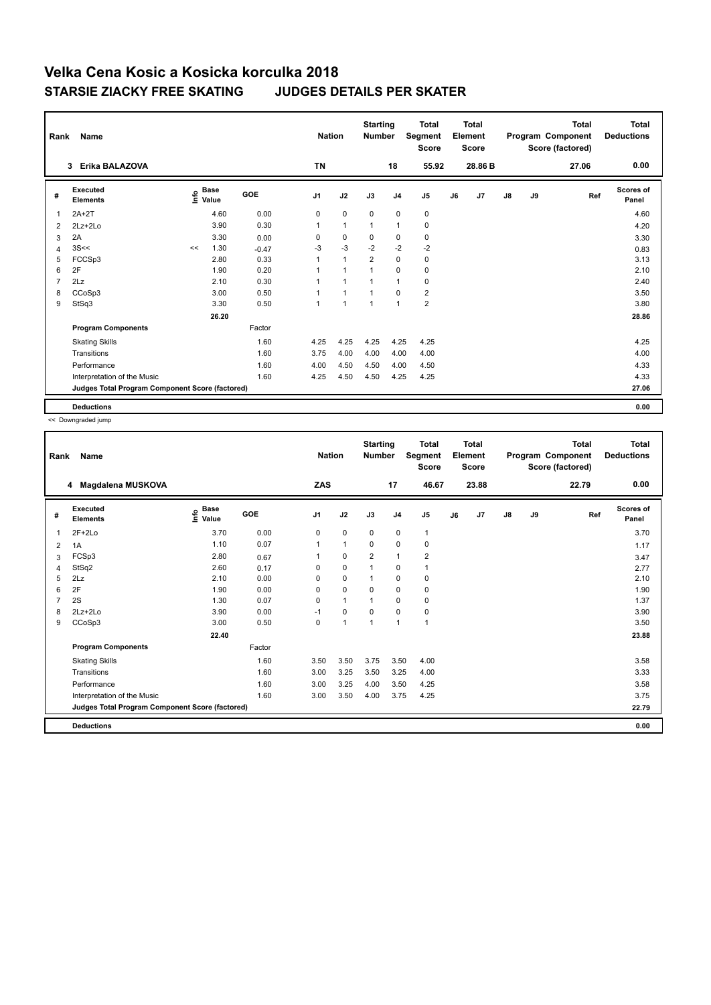| Rank           | Name                                            |      |                      |            | <b>Nation</b>  |                | <b>Starting</b><br><b>Number</b> |                | <b>Total</b><br>Segment<br><b>Score</b> |    | <b>Total</b><br>Element<br><b>Score</b> |               |    | Total<br>Program Component<br>Score (factored) | Total<br><b>Deductions</b> |
|----------------|-------------------------------------------------|------|----------------------|------------|----------------|----------------|----------------------------------|----------------|-----------------------------------------|----|-----------------------------------------|---------------|----|------------------------------------------------|----------------------------|
|                | Erika BALAZOVA<br>3                             |      |                      |            | <b>TN</b>      |                |                                  | 18             | 55.92                                   |    | 28.86 B                                 |               |    | 27.06                                          | 0.00                       |
| #              | Executed<br><b>Elements</b>                     | Info | <b>Base</b><br>Value | <b>GOE</b> | J <sub>1</sub> | J2             | J3                               | J <sub>4</sub> | J <sub>5</sub>                          | J6 | J7                                      | $\mathsf{J}8$ | J9 | Ref                                            | <b>Scores of</b><br>Panel  |
| 1              | $2A+2T$                                         |      | 4.60                 | 0.00       | 0              | $\pmb{0}$      | $\mathbf 0$                      | $\mathbf 0$    | 0                                       |    |                                         |               |    |                                                | 4.60                       |
| 2              | $2Lz + 2Lo$                                     |      | 3.90                 | 0.30       | 1              | $\mathbf{1}$   | 1                                | $\mathbf{1}$   | 0                                       |    |                                         |               |    |                                                | 4.20                       |
| 3              | 2A                                              |      | 3.30                 | 0.00       | 0              | $\mathbf 0$    | 0                                | $\mathbf 0$    | 0                                       |    |                                         |               |    |                                                | 3.30                       |
| 4              | 3S<<                                            | <<   | 1.30                 | $-0.47$    | $-3$           | $-3$           | $-2$                             | $-2$           | $-2$                                    |    |                                         |               |    |                                                | 0.83                       |
| 5              | FCCSp3                                          |      | 2.80                 | 0.33       | 1              | $\mathbf{1}$   | $\overline{2}$                   | $\mathbf 0$    | $\pmb{0}$                               |    |                                         |               |    |                                                | 3.13                       |
| 6              | 2F                                              |      | 1.90                 | 0.20       |                | $\overline{1}$ |                                  | $\mathbf 0$    | 0                                       |    |                                         |               |    |                                                | 2.10                       |
| $\overline{7}$ | 2Lz                                             |      | 2.10                 | 0.30       |                | 1              |                                  | $\overline{1}$ | $\mathbf 0$                             |    |                                         |               |    |                                                | 2.40                       |
| 8              | CCoSp3                                          |      | 3.00                 | 0.50       | 1              | 1              |                                  | $\Omega$       | $\overline{2}$                          |    |                                         |               |    |                                                | 3.50                       |
| 9              | StSq3                                           |      | 3.30                 | 0.50       | $\overline{1}$ | $\overline{1}$ | $\overline{1}$                   | $\mathbf{1}$   | $\overline{2}$                          |    |                                         |               |    |                                                | 3.80                       |
|                |                                                 |      | 26.20                |            |                |                |                                  |                |                                         |    |                                         |               |    |                                                | 28.86                      |
|                | <b>Program Components</b>                       |      |                      | Factor     |                |                |                                  |                |                                         |    |                                         |               |    |                                                |                            |
|                | <b>Skating Skills</b>                           |      |                      | 1.60       | 4.25           | 4.25           | 4.25                             | 4.25           | 4.25                                    |    |                                         |               |    |                                                | 4.25                       |
|                | Transitions                                     |      |                      | 1.60       | 3.75           | 4.00           | 4.00                             | 4.00           | 4.00                                    |    |                                         |               |    |                                                | 4.00                       |
|                | Performance                                     |      |                      | 1.60       | 4.00           | 4.50           | 4.50                             | 4.00           | 4.50                                    |    |                                         |               |    |                                                | 4.33                       |
|                | Interpretation of the Music                     |      |                      | 1.60       | 4.25           | 4.50           | 4.50                             | 4.25           | 4.25                                    |    |                                         |               |    |                                                | 4.33                       |
|                | Judges Total Program Component Score (factored) |      |                      |            |                |                |                                  |                |                                         |    |                                         |               |    |                                                | 27.06                      |
|                | <b>Deductions</b>                               |      |                      |            |                |                |                                  |                |                                         |    |                                         |               |    |                                                | 0.00                       |

<< Downgraded jump

| Rank | Name                                            |                                  |            | <b>Nation</b>  |                | <b>Starting</b><br><b>Number</b> |                | <b>Total</b><br>Segment<br>Score |    | <b>Total</b><br>Element<br><b>Score</b> |               |    | <b>Total</b><br>Program Component<br>Score (factored) | <b>Total</b><br><b>Deductions</b> |
|------|-------------------------------------------------|----------------------------------|------------|----------------|----------------|----------------------------------|----------------|----------------------------------|----|-----------------------------------------|---------------|----|-------------------------------------------------------|-----------------------------------|
|      | 4 Magdalena MUSKOVA                             |                                  |            | ZAS            |                |                                  | 17             | 46.67                            |    | 23.88                                   |               |    | 22.79                                                 | 0.00                              |
| #    | <b>Executed</b><br><b>Elements</b>              | <b>Base</b><br>e Base<br>⊆ Value | <b>GOE</b> | J <sub>1</sub> | J2             | J3                               | J <sub>4</sub> | J5                               | J6 | J7                                      | $\mathsf{J}8$ | J9 | Ref                                                   | <b>Scores of</b><br>Panel         |
| 1    | $2F+2Lo$                                        | 3.70                             | 0.00       | 0              | $\mathbf 0$    | $\mathbf 0$                      | 0              | $\mathbf{1}$                     |    |                                         |               |    |                                                       | 3.70                              |
| 2    | 1A                                              | 1.10                             | 0.07       |                | $\mathbf{1}$   | $\Omega$                         | $\mathbf 0$    | $\mathbf 0$                      |    |                                         |               |    |                                                       | 1.17                              |
| 3    | FCSp3                                           | 2.80                             | 0.67       |                | $\mathbf 0$    | 2                                | $\mathbf{1}$   | $\overline{2}$                   |    |                                         |               |    |                                                       | 3.47                              |
| 4    | StSq2                                           | 2.60                             | 0.17       | 0              | $\mathbf 0$    |                                  | $\mathbf 0$    | $\mathbf{1}$                     |    |                                         |               |    |                                                       | 2.77                              |
| 5    | 2Lz                                             | 2.10                             | 0.00       | $\Omega$       | $\mathbf 0$    |                                  | 0              | 0                                |    |                                         |               |    |                                                       | 2.10                              |
| 6    | 2F                                              | 1.90                             | 0.00       | 0              | $\mathbf 0$    | $\mathbf 0$                      | $\mathbf 0$    | $\pmb{0}$                        |    |                                         |               |    |                                                       | 1.90                              |
|      | 2S                                              | 1.30                             | 0.07       | $\Omega$       | $\mathbf{1}$   | 1                                | $\mathbf 0$    | $\mathbf 0$                      |    |                                         |               |    |                                                       | 1.37                              |
| 8    | 2Lz+2Lo                                         | 3.90                             | 0.00       | $-1$           | $\pmb{0}$      | $\mathbf 0$                      | $\mathbf 0$    | $\pmb{0}$                        |    |                                         |               |    |                                                       | 3.90                              |
| 9    | CCoSp3                                          | 3.00                             | 0.50       | 0              | $\overline{1}$ | 1                                | $\mathbf{1}$   | $\mathbf{1}$                     |    |                                         |               |    |                                                       | 3.50                              |
|      |                                                 | 22.40                            |            |                |                |                                  |                |                                  |    |                                         |               |    |                                                       | 23.88                             |
|      | <b>Program Components</b>                       |                                  | Factor     |                |                |                                  |                |                                  |    |                                         |               |    |                                                       |                                   |
|      | <b>Skating Skills</b>                           |                                  | 1.60       | 3.50           | 3.50           | 3.75                             | 3.50           | 4.00                             |    |                                         |               |    |                                                       | 3.58                              |
|      | Transitions                                     |                                  | 1.60       | 3.00           | 3.25           | 3.50                             | 3.25           | 4.00                             |    |                                         |               |    |                                                       | 3.33                              |
|      | Performance                                     |                                  | 1.60       | 3.00           | 3.25           | 4.00                             | 3.50           | 4.25                             |    |                                         |               |    |                                                       | 3.58                              |
|      | Interpretation of the Music                     |                                  | 1.60       | 3.00           | 3.50           | 4.00                             | 3.75           | 4.25                             |    |                                         |               |    |                                                       | 3.75                              |
|      | Judges Total Program Component Score (factored) |                                  |            |                |                |                                  |                |                                  |    |                                         |               |    |                                                       | 22.79                             |
|      | <b>Deductions</b>                               |                                  |            |                |                |                                  |                |                                  |    |                                         |               |    |                                                       | 0.00                              |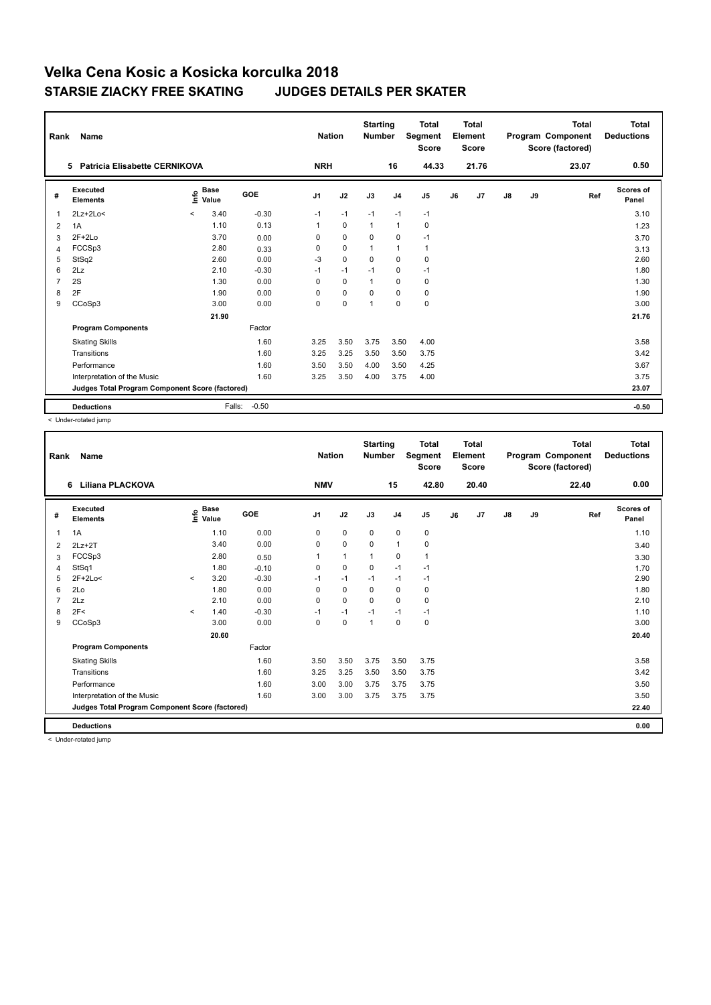| Rank           | <b>Name</b>                                     |         |                    |         | <b>Nation</b>  |             | <b>Starting</b><br><b>Number</b> |                | <b>Total</b><br>Segment<br><b>Score</b> |    | <b>Total</b><br>Element<br><b>Score</b> |               |    | Total<br>Program Component<br>Score (factored) | Total<br><b>Deductions</b> |
|----------------|-------------------------------------------------|---------|--------------------|---------|----------------|-------------|----------------------------------|----------------|-----------------------------------------|----|-----------------------------------------|---------------|----|------------------------------------------------|----------------------------|
|                | Patricia Elisabette CERNIKOVA<br>5              |         |                    |         | <b>NRH</b>     |             |                                  | 16             | 44.33                                   |    | 21.76                                   |               |    | 23.07                                          | 0.50                       |
| #              | Executed<br><b>Elements</b>                     |         | $\frac{e}{E}$ Base | GOE     | J <sub>1</sub> | J2          | J3                               | J <sub>4</sub> | J <sub>5</sub>                          | J6 | J7                                      | $\mathsf{J}8$ | J9 | Ref                                            | Scores of<br>Panel         |
| $\overline{1}$ | $2Lz+2Lo<$                                      | $\prec$ | 3.40               | $-0.30$ | $-1$           | $-1$        | $-1$                             | $-1$           | $-1$                                    |    |                                         |               |    |                                                | 3.10                       |
| 2              | 1A                                              |         | 1.10               | 0.13    | $\mathbf{1}$   | $\mathbf 0$ | $\mathbf{1}$                     | $\mathbf{1}$   | 0                                       |    |                                         |               |    |                                                | 1.23                       |
| 3              | $2F+2Lo$                                        |         | 3.70               | 0.00    | 0              | $\mathbf 0$ | $\mathbf 0$                      | $\mathbf 0$    | $-1$                                    |    |                                         |               |    |                                                | 3.70                       |
| $\overline{4}$ | FCCSp3                                          |         | 2.80               | 0.33    | 0              | $\mathbf 0$ | 1                                | $\mathbf{1}$   | $\mathbf{1}$                            |    |                                         |               |    |                                                | 3.13                       |
| 5              | StSq2                                           |         | 2.60               | 0.00    | -3             | $\mathbf 0$ | $\Omega$                         | $\mathbf 0$    | 0                                       |    |                                         |               |    |                                                | 2.60                       |
| 6              | 2Lz                                             |         | 2.10               | $-0.30$ | $-1$           | $-1$        | $-1$                             | $\mathbf 0$    | $-1$                                    |    |                                         |               |    |                                                | 1.80                       |
| $\overline{7}$ | 2S                                              |         | 1.30               | 0.00    | $\mathbf 0$    | $\mathbf 0$ | 1                                | $\mathbf 0$    | $\pmb{0}$                               |    |                                         |               |    |                                                | 1.30                       |
| 8              | 2F                                              |         | 1.90               | 0.00    | 0              | 0           | 0                                | 0              | 0                                       |    |                                         |               |    |                                                | 1.90                       |
| 9              | CCoSp3                                          |         | 3.00               | 0.00    | 0              | $\pmb{0}$   | 1                                | $\mathbf 0$    | $\pmb{0}$                               |    |                                         |               |    |                                                | 3.00                       |
|                |                                                 |         | 21.90              |         |                |             |                                  |                |                                         |    |                                         |               |    |                                                | 21.76                      |
|                | <b>Program Components</b>                       |         |                    | Factor  |                |             |                                  |                |                                         |    |                                         |               |    |                                                |                            |
|                | <b>Skating Skills</b>                           |         |                    | 1.60    | 3.25           | 3.50        | 3.75                             | 3.50           | 4.00                                    |    |                                         |               |    |                                                | 3.58                       |
|                | Transitions                                     |         |                    | 1.60    | 3.25           | 3.25        | 3.50                             | 3.50           | 3.75                                    |    |                                         |               |    |                                                | 3.42                       |
|                | Performance                                     |         |                    | 1.60    | 3.50           | 3.50        | 4.00                             | 3.50           | 4.25                                    |    |                                         |               |    |                                                | 3.67                       |
|                | Interpretation of the Music                     |         |                    | 1.60    | 3.25           | 3.50        | 4.00                             | 3.75           | 4.00                                    |    |                                         |               |    |                                                | 3.75                       |
|                | Judges Total Program Component Score (factored) |         |                    |         |                |             |                                  |                |                                         |    |                                         |               |    |                                                | 23.07                      |
|                | <b>Deductions</b>                               |         | Falls:             | $-0.50$ |                |             |                                  |                |                                         |    |                                         |               |    |                                                | $-0.50$                    |

< Under-rotated jump

| Rank | <b>Name</b>                                     |         |                                  |         | <b>Nation</b>  |              | <b>Starting</b><br><b>Number</b> |                | <b>Total</b><br>Segment<br><b>Score</b> |    | <b>Total</b><br>Element<br><b>Score</b> |               |    | <b>Total</b><br>Program Component<br>Score (factored) | <b>Total</b><br><b>Deductions</b> |
|------|-------------------------------------------------|---------|----------------------------------|---------|----------------|--------------|----------------------------------|----------------|-----------------------------------------|----|-----------------------------------------|---------------|----|-------------------------------------------------------|-----------------------------------|
|      | <b>Liliana PLACKOVA</b><br>6                    |         |                                  |         | <b>NMV</b>     |              |                                  | 15             | 42.80                                   |    | 20.40                                   |               |    | 22.40                                                 | 0.00                              |
| #    | Executed<br><b>Elements</b>                     |         | <b>Base</b><br>e Base<br>⊆ Value | GOE     | J <sub>1</sub> | J2           | J3                               | J <sub>4</sub> | J <sub>5</sub>                          | J6 | J7                                      | $\mathsf{J}8$ | J9 | Ref                                                   | <b>Scores of</b><br>Panel         |
| 1    | 1A                                              |         | 1.10                             | 0.00    | 0              | $\pmb{0}$    | 0                                | 0              | 0                                       |    |                                         |               |    |                                                       | 1.10                              |
| 2    | $2Lz+2T$                                        |         | 3.40                             | 0.00    | 0              | 0            | 0                                | $\mathbf{1}$   | 0                                       |    |                                         |               |    |                                                       | 3.40                              |
| 3    | FCCSp3                                          |         | 2.80                             | 0.50    | 1              | $\mathbf{1}$ | 1                                | 0              | $\mathbf{1}$                            |    |                                         |               |    |                                                       | 3.30                              |
| 4    | StSq1                                           |         | 1.80                             | $-0.10$ | 0              | $\mathbf 0$  | 0                                | $-1$           | $-1$                                    |    |                                         |               |    |                                                       | 1.70                              |
| 5    | $2F+2Lo<$                                       | $\prec$ | 3.20                             | $-0.30$ | $-1$           | $-1$         | $-1$                             | $-1$           | $-1$                                    |    |                                         |               |    |                                                       | 2.90                              |
| 6    | 2Lo                                             |         | 1.80                             | 0.00    | 0              | $\mathbf 0$  | 0                                | 0              | 0                                       |    |                                         |               |    |                                                       | 1.80                              |
|      | 2Lz                                             |         | 2.10                             | 0.00    | $\Omega$       | $\mathbf 0$  | $\Omega$                         | 0              | 0                                       |    |                                         |               |    |                                                       | 2.10                              |
| 8    | 2F<                                             | $\prec$ | 1.40                             | $-0.30$ | $-1$           | $-1$         | $-1$                             | $-1$           | $-1$                                    |    |                                         |               |    |                                                       | 1.10                              |
| 9    | CCoSp3                                          |         | 3.00                             | 0.00    | $\mathbf 0$    | $\mathbf 0$  | 1                                | $\mathbf 0$    | $\mathbf 0$                             |    |                                         |               |    |                                                       | 3.00                              |
|      |                                                 |         | 20.60                            |         |                |              |                                  |                |                                         |    |                                         |               |    |                                                       | 20.40                             |
|      | <b>Program Components</b>                       |         |                                  | Factor  |                |              |                                  |                |                                         |    |                                         |               |    |                                                       |                                   |
|      | <b>Skating Skills</b>                           |         |                                  | 1.60    | 3.50           | 3.50         | 3.75                             | 3.50           | 3.75                                    |    |                                         |               |    |                                                       | 3.58                              |
|      | Transitions                                     |         |                                  | 1.60    | 3.25           | 3.25         | 3.50                             | 3.50           | 3.75                                    |    |                                         |               |    |                                                       | 3.42                              |
|      | Performance                                     |         |                                  | 1.60    | 3.00           | 3.00         | 3.75                             | 3.75           | 3.75                                    |    |                                         |               |    |                                                       | 3.50                              |
|      | Interpretation of the Music                     |         |                                  | 1.60    | 3.00           | 3.00         | 3.75                             | 3.75           | 3.75                                    |    |                                         |               |    |                                                       | 3.50                              |
|      | Judges Total Program Component Score (factored) |         |                                  |         |                |              |                                  |                |                                         |    |                                         |               |    |                                                       | 22.40                             |
|      | <b>Deductions</b>                               |         |                                  |         |                |              |                                  |                |                                         |    |                                         |               |    |                                                       | 0.00                              |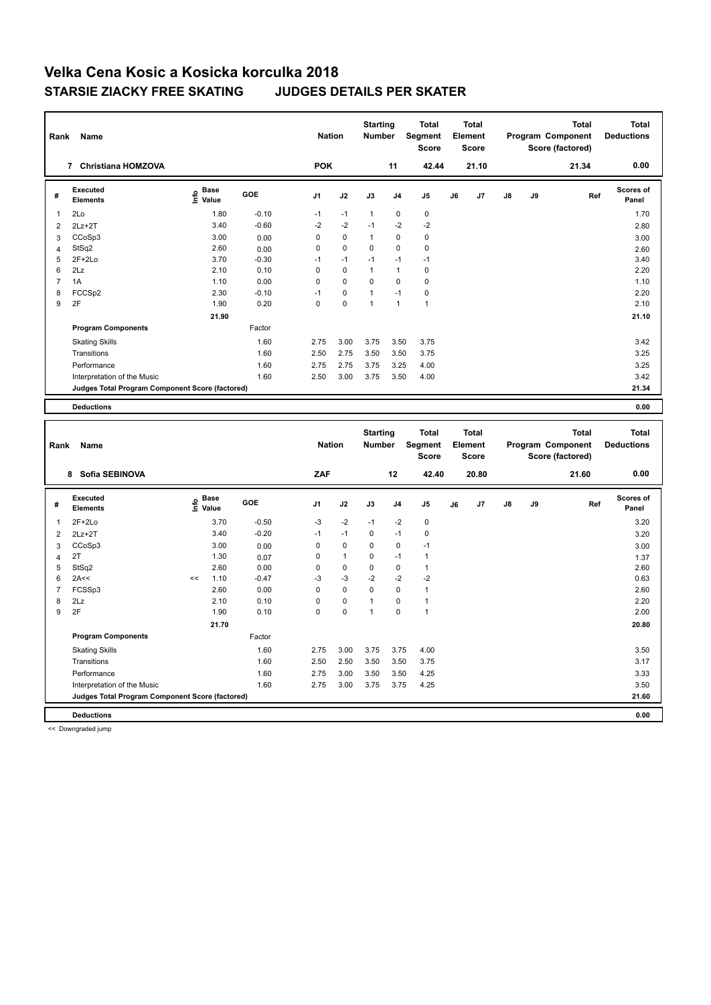| Rank                    | Name                                            |                       |              | <b>Nation</b>  |              | <b>Starting</b><br>Number |                | <b>Total</b><br>Segment<br><b>Score</b> |    | <b>Total</b><br>Element<br><b>Score</b> |    |    | <b>Total</b><br>Program Component<br>Score (factored) | <b>Total</b><br><b>Deductions</b> |
|-------------------------|-------------------------------------------------|-----------------------|--------------|----------------|--------------|---------------------------|----------------|-----------------------------------------|----|-----------------------------------------|----|----|-------------------------------------------------------|-----------------------------------|
|                         | 7 Christiana HOMZOVA                            |                       |              | <b>POK</b>     |              |                           | 11             | 42.44                                   |    | 21.10                                   |    |    | 21.34                                                 | 0.00                              |
| #                       | Executed<br><b>Elements</b>                     | $\sum_{i=1}^{n}$ Pase | GOE          | J <sub>1</sub> | J2           | J3                        | J <sub>4</sub> | J <sub>5</sub>                          | J6 | J7                                      | J8 | J9 | Ref                                                   | Scores of<br>Panel                |
| $\mathbf{1}$            | 2Lo                                             | 1.80                  | $-0.10$      | $-1$           | $-1$         | $\mathbf{1}$              | $\mathbf 0$    | $\mathbf 0$                             |    |                                         |    |    |                                                       | 1.70                              |
| $\overline{\mathbf{c}}$ | $2Lz + 2T$                                      | 3.40                  | $-0.60$      | $-2$           | $-2$         | $-1$                      | $-2$           | $-2$                                    |    |                                         |    |    |                                                       | 2.80                              |
| 3                       | CCoSp3                                          | 3.00                  | 0.00         | 0              | $\mathbf 0$  | $\mathbf{1}$              | $\mathbf 0$    | $\mathbf 0$                             |    |                                         |    |    |                                                       | 3.00                              |
| $\overline{4}$          | StSq2                                           | 2.60                  | 0.00         | 0              | 0            | 0                         | $\mathbf 0$    | $\mathbf 0$                             |    |                                         |    |    |                                                       | 2.60                              |
| 5                       | $2F+2Lo$                                        | 3.70                  | $-0.30$      | $-1$           | $-1$         | $-1$                      | $-1$           | $-1$                                    |    |                                         |    |    |                                                       | 3.40                              |
| 6                       | 2Lz                                             | 2.10                  | 0.10         | 0              | $\mathbf 0$  | $\mathbf{1}$              | $\mathbf{1}$   | $\mathbf 0$                             |    |                                         |    |    |                                                       | 2.20                              |
| $\overline{7}$          | 1A                                              | 1.10                  | 0.00         | 0              | 0            | 0                         | $\mathbf 0$    | $\mathbf 0$                             |    |                                         |    |    |                                                       | 1.10                              |
| 8                       | FCCSp2                                          | 2.30                  | $-0.10$      | $-1$           | 0            | $\mathbf{1}$              | $-1$           | $\mathbf 0$                             |    |                                         |    |    |                                                       | 2.20                              |
| 9                       | 2F                                              | 1.90                  | 0.20         | $\Omega$       | 0            | $\mathbf{1}$              | $\overline{1}$ | $\mathbf{1}$                            |    |                                         |    |    |                                                       | 2.10                              |
|                         |                                                 | 21.90                 |              |                |              |                           |                |                                         |    |                                         |    |    |                                                       | 21.10                             |
|                         | <b>Program Components</b>                       |                       | Factor       |                |              |                           |                |                                         |    |                                         |    |    |                                                       |                                   |
|                         | <b>Skating Skills</b>                           |                       | 1.60         | 2.75           | 3.00         | 3.75                      | 3.50           | 3.75                                    |    |                                         |    |    |                                                       | 3.42                              |
|                         | Transitions                                     |                       | 1.60         | 2.50           | 2.75         | 3.50                      | 3.50           | 3.75                                    |    |                                         |    |    |                                                       | 3.25                              |
|                         | Performance                                     |                       | 1.60         | 2.75           | 2.75         | 3.75                      | 3.25           | 4.00                                    |    |                                         |    |    |                                                       | 3.25                              |
|                         |                                                 |                       | 1.60         | 2.50           | 3.00         | 3.75                      | 3.50           | 4.00                                    |    |                                         |    |    |                                                       | 3.42                              |
|                         | Interpretation of the Music                     |                       |              |                |              |                           |                |                                         |    |                                         |    |    |                                                       | 21.34                             |
|                         | Judges Total Program Component Score (factored) |                       |              |                |              |                           |                |                                         |    |                                         |    |    |                                                       |                                   |
|                         |                                                 |                       |              |                |              |                           |                |                                         |    |                                         |    |    |                                                       |                                   |
|                         | <b>Deductions</b>                               |                       |              |                |              |                           |                |                                         |    |                                         |    |    |                                                       | 0.00                              |
|                         |                                                 |                       |              |                |              |                           |                |                                         |    |                                         |    |    |                                                       |                                   |
|                         |                                                 |                       |              |                |              | <b>Starting</b>           |                | <b>Total</b>                            |    | Total                                   |    |    | <b>Total</b>                                          | <b>Total</b>                      |
| Rank                    | Name                                            |                       |              | <b>Nation</b>  |              | Number                    |                | <b>Segment</b>                          |    | Element                                 |    |    | Program Component                                     | <b>Deductions</b>                 |
|                         |                                                 |                       |              |                |              |                           |                | <b>Score</b>                            |    | <b>Score</b>                            |    |    | Score (factored)                                      |                                   |
|                         |                                                 |                       |              |                |              |                           |                |                                         |    |                                         |    |    |                                                       |                                   |
|                         | 8 Sofia SEBINOVA                                |                       |              | ZAF            |              |                           | 12             | 42.40                                   |    | 20.80                                   |    |    | 21.60                                                 | 0.00                              |
| #                       | Executed<br><b>Elements</b>                     | e Base<br>E Value     | GOE          | J1             | J2           | J3                        | J <sub>4</sub> | J5                                      | J6 | J7                                      | J8 | J9 | Ref                                                   | Scores of<br>Panel                |
| 1                       | $2F+2Lo$                                        | 3.70                  | $-0.50$      | $-3$           | $-2$         | $-1$                      | $-2$           | $\pmb{0}$                               |    |                                         |    |    |                                                       | 3.20                              |
| $\overline{2}$          | $2Lz + 2T$                                      | 3.40                  | $-0.20$      | $-1$           | $-1$         | 0                         | $-1$           | $\pmb{0}$                               |    |                                         |    |    |                                                       | 3.20                              |
|                         |                                                 | 3.00                  |              | 0              | 0            | 0                         | $\mathbf 0$    | $-1$                                    |    |                                         |    |    |                                                       |                                   |
| 3                       | CCoSp3<br>2T                                    | 1.30                  | 0.00         | 0              | $\mathbf{1}$ | 0                         | $-1$           | $\mathbf{1}$                            |    |                                         |    |    |                                                       | 3.00                              |
| $\overline{4}$<br>5     | StSq2                                           | 2.60                  | 0.07<br>0.00 | 0              | $\mathbf 0$  | 0                         | $\mathbf 0$    | $\mathbf{1}$                            |    |                                         |    |    |                                                       | 1.37<br>2.60                      |
| 6                       | 2A<<                                            | 1.10<br><<            | $-0.47$      | $-3$           | $-3$         | $-2$                      | $-2$           | $-2$                                    |    |                                         |    |    |                                                       | 0.63                              |
| $\overline{7}$          | FCSSp3                                          | 2.60                  | 0.00         | 0              | $\mathbf 0$  | 0                         | $\mathbf 0$    | $\mathbf{1}$                            |    |                                         |    |    |                                                       | 2.60                              |
| 8                       | 2Lz                                             | 2.10                  | 0.10         | 0              | 0            | $\mathbf{1}$              | $\mathbf 0$    | $\mathbf{1}$                            |    |                                         |    |    |                                                       | 2.20                              |
| 9                       | 2F                                              | 1.90                  | 0.10         | $\Omega$       | 0            | $\mathbf{1}$              | $\Omega$       | $\mathbf{1}$                            |    |                                         |    |    |                                                       | 2.00                              |
|                         |                                                 |                       |              |                |              |                           |                |                                         |    |                                         |    |    |                                                       | 20.80                             |
|                         |                                                 | 21.70                 |              |                |              |                           |                |                                         |    |                                         |    |    |                                                       |                                   |
|                         | <b>Program Components</b>                       |                       | Factor       |                |              |                           |                |                                         |    |                                         |    |    |                                                       |                                   |
|                         | <b>Skating Skills</b>                           |                       | 1.60         | 2.75           | 3.00         | 3.75                      | 3.75           | 4.00                                    |    |                                         |    |    |                                                       | 3.50                              |
|                         | Transitions                                     |                       | 1.60         | 2.50           | 2.50         | 3.50                      | 3.50           | 3.75                                    |    |                                         |    |    |                                                       | 3.17                              |
|                         | Performance<br>Interpretation of the Music      |                       | 1.60<br>1.60 | 2.75<br>2.75   | 3.00<br>3.00 | 3.50<br>3.75              | 3.50<br>3.75   | 4.25<br>4.25                            |    |                                         |    |    |                                                       | 3.33<br>3.50                      |

**Deductions 0.00 Judges Total Program Component Score (factored) 21.60**

<< Downgraded jump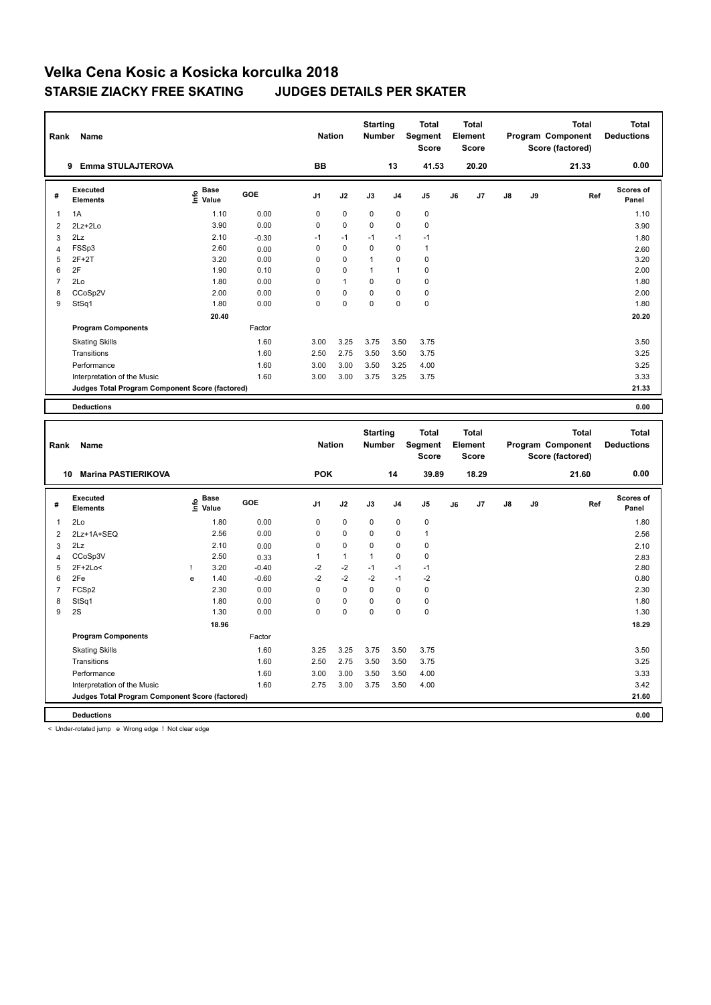| Rank           | Name                                            |                                           |              | <b>Nation</b>  |              | <b>Starting</b><br><b>Number</b> |                | <b>Total</b><br>Segment<br>Score |    | <b>Total</b><br>Element<br>Score |    |    | <b>Total</b><br>Program Component<br>Score (factored) | <b>Total</b><br><b>Deductions</b> |
|----------------|-------------------------------------------------|-------------------------------------------|--------------|----------------|--------------|----------------------------------|----------------|----------------------------------|----|----------------------------------|----|----|-------------------------------------------------------|-----------------------------------|
|                | 9 Emma STULAJTEROVA                             |                                           |              | BB             |              |                                  | 13             | 41.53                            |    | 20.20                            |    |    | 21.33                                                 | 0.00                              |
| #              | <b>Executed</b><br><b>Elements</b>              | $\frac{e}{E}$ Base<br>$\frac{e}{E}$ Value | GOE          | J1             | J2           | J3                               | J4             | J <sub>5</sub>                   | J6 | J7                               | J8 | J9 | Ref                                                   | Scores of<br>Panel                |
| $\overline{1}$ | 1A                                              | 1.10                                      | 0.00         | 0              | $\pmb{0}$    | $\mathbf 0$                      | $\mathbf 0$    | $\pmb{0}$                        |    |                                  |    |    |                                                       | 1.10                              |
| $\overline{2}$ | 2Lz+2Lo                                         | 3.90                                      | 0.00         | 0              | 0            | 0                                | $\mathbf 0$    | $\pmb{0}$                        |    |                                  |    |    |                                                       | 3.90                              |
| 3              | 2Lz                                             | 2.10                                      | $-0.30$      | $-1$           | $-1$         | $-1$                             | $-1$           | $-1$                             |    |                                  |    |    |                                                       | 1.80                              |
| 4              | FSSp3                                           | 2.60                                      | 0.00         | 0              | 0            | 0                                | $\mathbf 0$    | $\mathbf{1}$                     |    |                                  |    |    |                                                       | 2.60                              |
| 5              | $2F+2T$                                         | 3.20                                      | 0.00         | 0              | 0            | 1                                | $\mathbf 0$    | $\pmb{0}$                        |    |                                  |    |    |                                                       | 3.20                              |
| 6              | 2F                                              | 1.90                                      | 0.10         | 0              | 0            | $\mathbf{1}$                     | $\mathbf{1}$   | $\mathbf 0$                      |    |                                  |    |    |                                                       | 2.00                              |
| $\overline{7}$ | 2Lo                                             | 1.80                                      | 0.00         | 0              | 1            | 0                                | $\mathbf 0$    | $\mathbf 0$                      |    |                                  |    |    |                                                       | 1.80                              |
| 8              | CCoSp2V                                         | 2.00                                      | 0.00         | $\overline{0}$ | 0            | O                                | $\mathbf 0$    | $\pmb{0}$                        |    |                                  |    |    |                                                       | 2.00                              |
| 9              | StSq1                                           | 1.80                                      | 0.00         | 0              | 0            | 0                                | $\mathbf 0$    | $\pmb{0}$                        |    |                                  |    |    |                                                       | 1.80                              |
|                |                                                 | 20.40                                     |              |                |              |                                  |                |                                  |    |                                  |    |    |                                                       | 20.20                             |
|                | <b>Program Components</b>                       |                                           | Factor       |                |              |                                  |                |                                  |    |                                  |    |    |                                                       |                                   |
|                | <b>Skating Skills</b>                           |                                           | 1.60         | 3.00           | 3.25         | 3.75                             | 3.50           | 3.75                             |    |                                  |    |    |                                                       | 3.50                              |
|                | Transitions                                     |                                           | 1.60         | 2.50           | 2.75         | 3.50                             | 3.50           | 3.75                             |    |                                  |    |    |                                                       | 3.25                              |
|                | Performance                                     |                                           | 1.60         | 3.00           | 3.00         | 3.50                             | 3.25           | 4.00                             |    |                                  |    |    |                                                       | 3.25                              |
|                | Interpretation of the Music                     |                                           | 1.60         | 3.00           | 3.00         | 3.75                             | 3.25           | 3.75                             |    |                                  |    |    |                                                       | 3.33                              |
|                | Judges Total Program Component Score (factored) |                                           |              |                |              |                                  |                |                                  |    |                                  |    |    |                                                       | 21.33                             |
|                |                                                 |                                           |              |                |              |                                  |                |                                  |    |                                  |    |    |                                                       |                                   |
|                | <b>Deductions</b>                               |                                           |              |                |              |                                  |                |                                  |    |                                  |    |    |                                                       | 0.00                              |
|                |                                                 |                                           |              |                |              |                                  |                |                                  |    |                                  |    |    |                                                       |                                   |
|                |                                                 |                                           |              |                |              |                                  |                |                                  |    |                                  |    |    |                                                       |                                   |
|                |                                                 |                                           |              |                |              | <b>Starting</b>                  |                | <b>Total</b>                     |    | <b>Total</b>                     |    |    | <b>Total</b>                                          | <b>Total</b>                      |
| Rank           | Name                                            |                                           |              | <b>Nation</b>  |              | Number                           |                | Segment<br><b>Score</b>          |    | Element<br><b>Score</b>          |    |    | Program Component<br>Score (factored)                 | <b>Deductions</b>                 |
|                |                                                 |                                           |              |                |              |                                  |                |                                  |    |                                  |    |    |                                                       |                                   |
|                | 10 Marina PASTIERIKOVA                          |                                           |              | <b>POK</b>     |              |                                  | 14             | 39.89                            |    | 18.29                            |    |    | 21.60                                                 | 0.00                              |
| #              | Executed                                        |                                           | GOE          | J <sub>1</sub> | J2           | J3                               | J <sub>4</sub> | J5                               | J6 | J7                               | J8 | J9 | Ref                                                   | Scores of                         |
|                | <b>Elements</b>                                 | e Base<br>E Value                         |              |                |              |                                  |                |                                  |    |                                  |    |    |                                                       | Panel                             |
| 1              | 2Lo                                             | 1.80                                      | 0.00         | 0              | $\pmb{0}$    | $\mathbf 0$                      | $\mathbf 0$    | $\pmb{0}$                        |    |                                  |    |    |                                                       | 1.80                              |
| $\overline{2}$ | 2Lz+1A+SEQ                                      | 2.56                                      | 0.00         | 0              | $\pmb{0}$    | 0                                | $\mathbf 0$    | $\mathbf{1}$                     |    |                                  |    |    |                                                       | 2.56                              |
| 3              | 2Lz                                             | 2.10                                      | 0.00         | 0              | $\pmb{0}$    | 0                                | $\mathbf 0$    | $\pmb{0}$                        |    |                                  |    |    |                                                       | 2.10                              |
| $\overline{4}$ | CCoSp3V                                         | 2.50                                      | 0.33         | 1              | $\mathbf{1}$ | 1                                | $\mathbf 0$    | $\mathbf 0$                      |    |                                  |    |    |                                                       | 2.83                              |
| 5              | 2F+2Lo<                                         | 3.20<br>Ţ                                 | $-0.40$      | $-2$           | $-2$         | $-1$                             | $-1$           | $-1$                             |    |                                  |    |    |                                                       | 2.80                              |
| 6              | 2Fe                                             | 1.40<br>e                                 | $-0.60$      | $-2$           | $-2$         | $-2$                             | $-1$           | $-2$                             |    |                                  |    |    |                                                       | 0.80                              |
| $\overline{7}$ | FCS <sub>p2</sub>                               | 2.30                                      | 0.00         | 0              | $\pmb{0}$    | 0                                | $\mathbf 0$    | $\pmb{0}$                        |    |                                  |    |    |                                                       | 2.30                              |
| 8              | StSq1                                           | 1.80                                      | 0.00         | 0              | 0            | 0                                | $\mathbf 0$    | $\pmb{0}$                        |    |                                  |    |    |                                                       | 1.80                              |
| 9              | 2S                                              | 1.30                                      | 0.00         | 0              | 0            | 0                                | $\mathbf 0$    | $\mathbf 0$                      |    |                                  |    |    |                                                       | 1.30                              |
|                |                                                 | 18.96                                     |              |                |              |                                  |                |                                  |    |                                  |    |    |                                                       | 18.29                             |
|                | <b>Program Components</b>                       |                                           | Factor       |                |              |                                  |                |                                  |    |                                  |    |    |                                                       |                                   |
|                | <b>Skating Skills</b>                           |                                           | 1.60         | 3.25           | 3.25         | 3.75                             | 3.50           | 3.75                             |    |                                  |    |    |                                                       | 3.50                              |
|                | Transitions                                     |                                           | 1.60         | 2.50           | 2.75         | 3.50                             | 3.50           | 3.75                             |    |                                  |    |    |                                                       | 3.25                              |
|                | Performance<br>Interpretation of the Music      |                                           | 1.60<br>1.60 | 3.00<br>2.75   | 3.00<br>3.00 | 3.50<br>3.75                     | 3.50<br>3.50   | 4.00<br>4.00                     |    |                                  |    |    |                                                       | 3.33<br>3.42                      |

**Deductions 0.00**

< Under-rotated jump e Wrong edge ! Not clear edge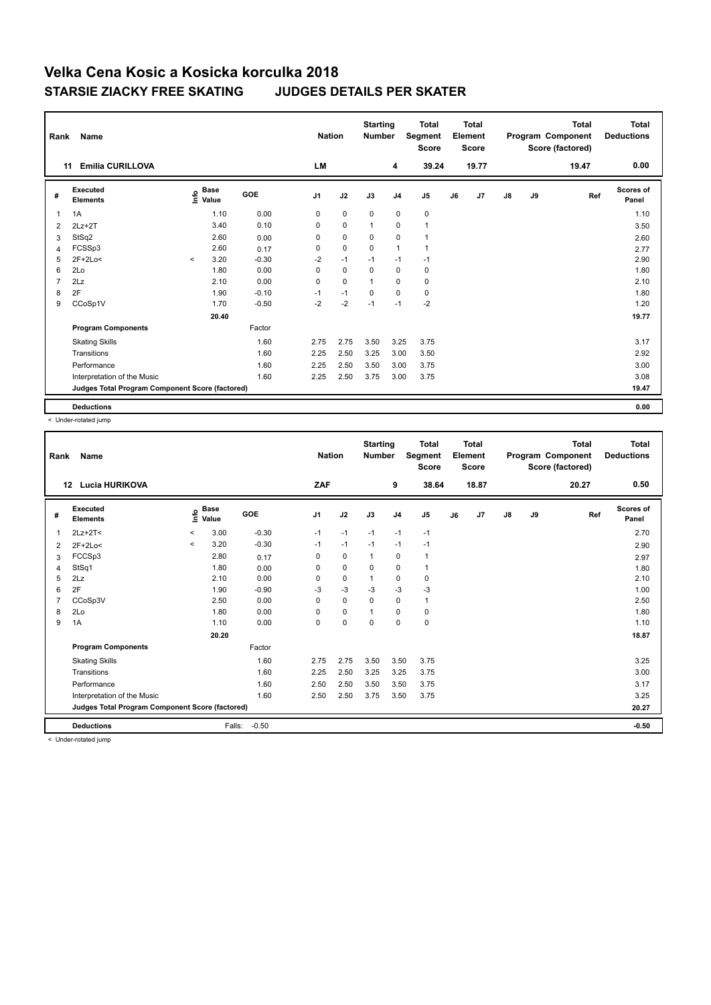| Rank           | <b>Name</b>                                     |          |                                  |         | <b>Nation</b>  |             | <b>Starting</b><br><b>Number</b> |                | <b>Total</b><br>Segment<br><b>Score</b> |    | Total<br>Element<br><b>Score</b> |               |    | <b>Total</b><br>Program Component<br>Score (factored) | <b>Total</b><br><b>Deductions</b> |
|----------------|-------------------------------------------------|----------|----------------------------------|---------|----------------|-------------|----------------------------------|----------------|-----------------------------------------|----|----------------------------------|---------------|----|-------------------------------------------------------|-----------------------------------|
|                | <b>Emilia CURILLOVA</b><br>11                   |          |                                  |         | <b>LM</b>      |             |                                  | 4              | 39.24                                   |    | 19.77                            |               |    | 19.47                                                 | 0.00                              |
| #              | Executed<br><b>Elements</b>                     |          | <b>Base</b><br>o Base<br>⊆ Value | GOE     | J <sub>1</sub> | J2          | J3                               | J <sub>4</sub> | J5                                      | J6 | J7                               | $\mathsf{J}8$ | J9 | Ref                                                   | <b>Scores of</b><br>Panel         |
| 1              | 1A                                              |          | 1.10                             | 0.00    | 0              | $\mathbf 0$ | $\mathbf 0$                      | $\mathbf 0$    | $\mathbf 0$                             |    |                                  |               |    |                                                       | 1.10                              |
| $\overline{2}$ | $2Lz+2T$                                        |          | 3.40                             | 0.10    | 0              | $\mathbf 0$ | $\overline{1}$                   | $\mathbf 0$    | $\mathbf{1}$                            |    |                                  |               |    |                                                       | 3.50                              |
| 3              | StSq2                                           |          | 2.60                             | 0.00    | 0              | 0           | 0                                | 0              | $\mathbf 1$                             |    |                                  |               |    |                                                       | 2.60                              |
| 4              | FCSSp3                                          |          | 2.60                             | 0.17    | 0              | $\mathbf 0$ | $\mathbf 0$                      | $\mathbf{1}$   | $\mathbf{1}$                            |    |                                  |               |    |                                                       | 2.77                              |
| 5              | $2F+2Lo<$                                       | $\hat{}$ | 3.20                             | $-0.30$ | $-2$           | $-1$        | $-1$                             | $-1$           | $-1$                                    |    |                                  |               |    |                                                       | 2.90                              |
| 6              | 2Lo                                             |          | 1.80                             | 0.00    | 0              | $\mathbf 0$ | 0                                | $\mathbf 0$    | 0                                       |    |                                  |               |    |                                                       | 1.80                              |
| $\overline{7}$ | 2Lz                                             |          | 2.10                             | 0.00    | 0              | $\mathbf 0$ | $\overline{1}$                   | $\mathbf 0$    | $\mathbf 0$                             |    |                                  |               |    |                                                       | 2.10                              |
| 8              | 2F                                              |          | 1.90                             | $-0.10$ | $-1$           | $-1$        | 0                                | 0              | $\pmb{0}$                               |    |                                  |               |    |                                                       | 1.80                              |
| 9              | CCoSp1V                                         |          | 1.70                             | $-0.50$ | $-2$           | $-2$        | $-1$                             | $-1$           | $-2$                                    |    |                                  |               |    |                                                       | 1.20                              |
|                |                                                 |          | 20.40                            |         |                |             |                                  |                |                                         |    |                                  |               |    |                                                       | 19.77                             |
|                | <b>Program Components</b>                       |          |                                  | Factor  |                |             |                                  |                |                                         |    |                                  |               |    |                                                       |                                   |
|                | <b>Skating Skills</b>                           |          |                                  | 1.60    | 2.75           | 2.75        | 3.50                             | 3.25           | 3.75                                    |    |                                  |               |    |                                                       | 3.17                              |
|                | Transitions                                     |          |                                  | 1.60    | 2.25           | 2.50        | 3.25                             | 3.00           | 3.50                                    |    |                                  |               |    |                                                       | 2.92                              |
|                | Performance                                     |          |                                  | 1.60    | 2.25           | 2.50        | 3.50                             | 3.00           | 3.75                                    |    |                                  |               |    |                                                       | 3.00                              |
|                | Interpretation of the Music                     |          |                                  | 1.60    | 2.25           | 2.50        | 3.75                             | 3.00           | 3.75                                    |    |                                  |               |    |                                                       | 3.08                              |
|                | Judges Total Program Component Score (factored) |          |                                  |         |                |             |                                  |                |                                         |    |                                  |               |    |                                                       | 19.47                             |
|                | <b>Deductions</b>                               |          |                                  |         |                |             |                                  |                |                                         |    |                                  |               |    |                                                       | 0.00                              |

< Under-rotated jump

| Rank | <b>Name</b>                                     |          |                                    |         | <b>Nation</b>  |             | <b>Starting</b><br><b>Number</b> |                | <b>Total</b><br>Segment<br><b>Score</b> |    | Total<br>Element<br><b>Score</b> |               |    | Total<br>Program Component<br>Score (factored) | <b>Total</b><br><b>Deductions</b> |
|------|-------------------------------------------------|----------|------------------------------------|---------|----------------|-------------|----------------------------------|----------------|-----------------------------------------|----|----------------------------------|---------------|----|------------------------------------------------|-----------------------------------|
|      | 12<br><b>Lucia HURIKOVA</b>                     |          |                                    |         | ZAF            |             |                                  | 9              | 38.64                                   |    | 18.87                            |               |    | 20.27                                          | 0.50                              |
| #    | Executed<br><b>Elements</b>                     |          | <b>Base</b><br>$\frac{6}{5}$ Value | GOE     | J <sub>1</sub> | J2          | J3                               | J <sub>4</sub> | J <sub>5</sub>                          | J6 | J7                               | $\mathsf{J}8$ | J9 | Ref                                            | <b>Scores of</b><br>Panel         |
| 1    | $2Lz+2T<$                                       | $\hat{}$ | 3.00                               | $-0.30$ | $-1$           | $-1$        | $-1$                             | $-1$           | $-1$                                    |    |                                  |               |    |                                                | 2.70                              |
| 2    | $2F+2Lo<$                                       | $\,<\,$  | 3.20                               | $-0.30$ | $-1$           | $-1$        | $-1$                             | $-1$           | $-1$                                    |    |                                  |               |    |                                                | 2.90                              |
| 3    | FCCSp3                                          |          | 2.80                               | 0.17    | 0              | $\mathbf 0$ | 1                                | 0              | $\mathbf{1}$                            |    |                                  |               |    |                                                | 2.97                              |
| 4    | StSq1                                           |          | 1.80                               | 0.00    | 0              | $\mathbf 0$ | 0                                | $\mathbf 0$    | 1                                       |    |                                  |               |    |                                                | 1.80                              |
| 5    | 2Lz                                             |          | 2.10                               | 0.00    | 0              | $\mathbf 0$ | -1                               | 0              | 0                                       |    |                                  |               |    |                                                | 2.10                              |
| 6    | 2F                                              |          | 1.90                               | $-0.90$ | -3             | $-3$        | -3                               | $-3$           | $-3$                                    |    |                                  |               |    |                                                | 1.00                              |
| 7    | CCoSp3V                                         |          | 2.50                               | 0.00    | $\Omega$       | $\mathbf 0$ | $\Omega$                         | $\mathbf 0$    | $\mathbf{1}$                            |    |                                  |               |    |                                                | 2.50                              |
| 8    | 2Lo                                             |          | 1.80                               | 0.00    | 0              | $\mathbf 0$ | 1                                | $\mathbf 0$    | $\pmb{0}$                               |    |                                  |               |    |                                                | 1.80                              |
| 9    | 1A                                              |          | 1.10                               | 0.00    | 0              | $\mathbf 0$ | $\mathbf 0$                      | $\mathbf 0$    | $\pmb{0}$                               |    |                                  |               |    |                                                | 1.10                              |
|      |                                                 |          | 20.20                              |         |                |             |                                  |                |                                         |    |                                  |               |    |                                                | 18.87                             |
|      | <b>Program Components</b>                       |          |                                    | Factor  |                |             |                                  |                |                                         |    |                                  |               |    |                                                |                                   |
|      | <b>Skating Skills</b>                           |          |                                    | 1.60    | 2.75           | 2.75        | 3.50                             | 3.50           | 3.75                                    |    |                                  |               |    |                                                | 3.25                              |
|      | Transitions                                     |          |                                    | 1.60    | 2.25           | 2.50        | 3.25                             | 3.25           | 3.75                                    |    |                                  |               |    |                                                | 3.00                              |
|      | Performance                                     |          |                                    | 1.60    | 2.50           | 2.50        | 3.50                             | 3.50           | 3.75                                    |    |                                  |               |    |                                                | 3.17                              |
|      | Interpretation of the Music                     |          |                                    | 1.60    | 2.50           | 2.50        | 3.75                             | 3.50           | 3.75                                    |    |                                  |               |    |                                                | 3.25                              |
|      | Judges Total Program Component Score (factored) |          |                                    |         |                |             |                                  |                |                                         |    |                                  |               |    |                                                | 20.27                             |
|      | <b>Deductions</b>                               |          | Falls:                             | $-0.50$ |                |             |                                  |                |                                         |    |                                  |               |    |                                                | $-0.50$                           |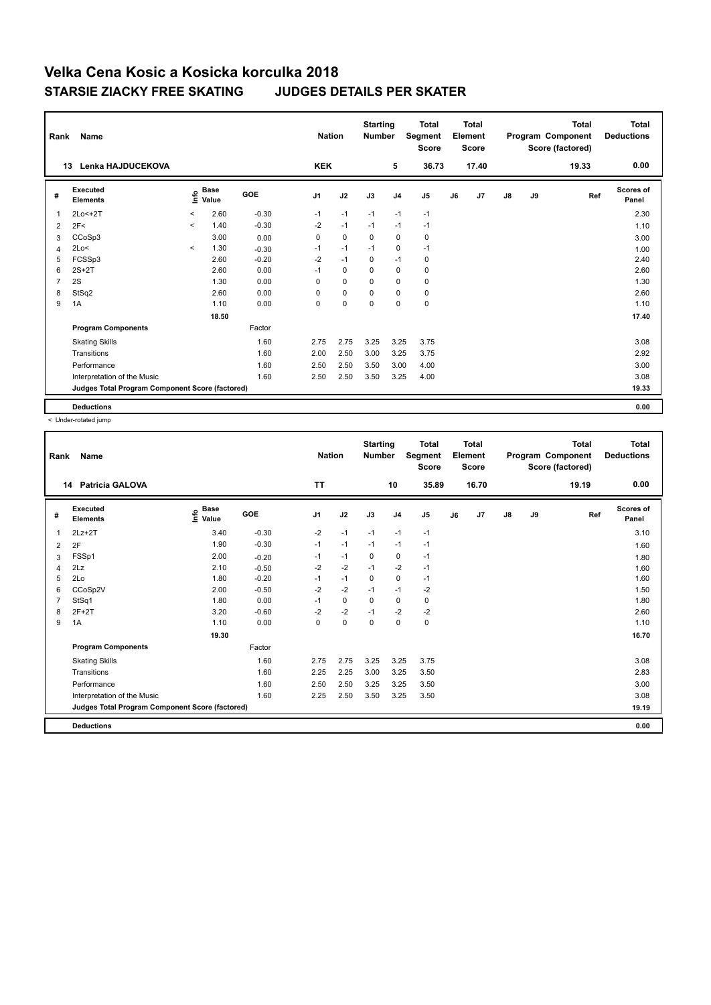| Rank           | <b>Name</b>                                     |         |                      |         | <b>Nation</b>  |             | <b>Starting</b><br><b>Number</b> |                | <b>Total</b><br>Segment<br><b>Score</b> |    | <b>Total</b><br>Element<br><b>Score</b> |               |    | <b>Total</b><br>Program Component<br>Score (factored) | <b>Total</b><br><b>Deductions</b> |
|----------------|-------------------------------------------------|---------|----------------------|---------|----------------|-------------|----------------------------------|----------------|-----------------------------------------|----|-----------------------------------------|---------------|----|-------------------------------------------------------|-----------------------------------|
|                | <b>Lenka HAJDUCEKOVA</b><br>13                  |         |                      |         | <b>KEK</b>     |             |                                  | 5              | 36.73                                   |    | 17.40                                   |               |    | 19.33                                                 | 0.00                              |
| #              | Executed<br><b>Elements</b>                     | e       | <b>Base</b><br>Value | GOE     | J <sub>1</sub> | J2          | J3                               | J <sub>4</sub> | J <sub>5</sub>                          | J6 | J7                                      | $\mathsf{J}8$ | J9 | Ref                                                   | <b>Scores of</b><br>Panel         |
| $\overline{1}$ | $2Lo < +2T$                                     | $\prec$ | 2.60                 | $-0.30$ | $-1$           | $-1$        | $-1$                             | $-1$           | $-1$                                    |    |                                         |               |    |                                                       | 2.30                              |
| 2              | 2F<                                             | $\prec$ | 1.40                 | $-0.30$ | $-2$           | $-1$        | $-1$                             | $-1$           | $-1$                                    |    |                                         |               |    |                                                       | 1.10                              |
| 3              | CCoSp3                                          |         | 3.00                 | 0.00    | $\Omega$       | $\mathbf 0$ | 0                                | $\mathbf 0$    | 0                                       |    |                                         |               |    |                                                       | 3.00                              |
| 4              | 2Lo<                                            | $\prec$ | 1.30                 | $-0.30$ | $-1$           | $-1$        | $-1$                             | $\mathbf 0$    | $-1$                                    |    |                                         |               |    |                                                       | 1.00                              |
| 5              | FCSSp3                                          |         | 2.60                 | $-0.20$ | $-2$           | $-1$        | 0                                | $-1$           | 0                                       |    |                                         |               |    |                                                       | 2.40                              |
| 6              | $2S+2T$                                         |         | 2.60                 | 0.00    | $-1$           | $\mathbf 0$ | 0                                | $\mathbf 0$    | 0                                       |    |                                         |               |    |                                                       | 2.60                              |
| $\overline{7}$ | 2S                                              |         | 1.30                 | 0.00    | $\Omega$       | $\Omega$    | $\Omega$                         | $\mathbf 0$    | $\mathbf 0$                             |    |                                         |               |    |                                                       | 1.30                              |
| 8              | StSq2                                           |         | 2.60                 | 0.00    | 0              | $\mathbf 0$ | $\mathbf 0$                      | $\mathbf 0$    | 0                                       |    |                                         |               |    |                                                       | 2.60                              |
| 9              | 1A                                              |         | 1.10                 | 0.00    | 0              | $\pmb{0}$   | $\mathbf 0$                      | $\mathbf 0$    | $\pmb{0}$                               |    |                                         |               |    |                                                       | 1.10                              |
|                |                                                 |         | 18.50                |         |                |             |                                  |                |                                         |    |                                         |               |    |                                                       | 17.40                             |
|                | <b>Program Components</b>                       |         |                      | Factor  |                |             |                                  |                |                                         |    |                                         |               |    |                                                       |                                   |
|                | <b>Skating Skills</b>                           |         |                      | 1.60    | 2.75           | 2.75        | 3.25                             | 3.25           | 3.75                                    |    |                                         |               |    |                                                       | 3.08                              |
|                | Transitions                                     |         |                      | 1.60    | 2.00           | 2.50        | 3.00                             | 3.25           | 3.75                                    |    |                                         |               |    |                                                       | 2.92                              |
|                | Performance                                     |         |                      | 1.60    | 2.50           | 2.50        | 3.50                             | 3.00           | 4.00                                    |    |                                         |               |    |                                                       | 3.00                              |
|                | Interpretation of the Music                     |         |                      | 1.60    | 2.50           | 2.50        | 3.50                             | 3.25           | 4.00                                    |    |                                         |               |    |                                                       | 3.08                              |
|                | Judges Total Program Component Score (factored) |         |                      |         |                |             |                                  |                |                                         |    |                                         |               |    |                                                       | 19.33                             |
|                | <b>Deductions</b>                               |         |                      |         |                |             |                                  |                |                                         |    |                                         |               |    |                                                       | 0.00                              |

| Rank | Name                                            |                                  |            | <b>Nation</b>  |             | <b>Starting</b><br><b>Number</b> |                | <b>Total</b><br>Segment<br><b>Score</b> |    | <b>Total</b><br>Element<br><b>Score</b> |               |    | <b>Total</b><br>Program Component<br>Score (factored) | <b>Total</b><br><b>Deductions</b> |
|------|-------------------------------------------------|----------------------------------|------------|----------------|-------------|----------------------------------|----------------|-----------------------------------------|----|-----------------------------------------|---------------|----|-------------------------------------------------------|-----------------------------------|
|      | <b>Patricia GALOVA</b><br>14                    |                                  |            | <b>TT</b>      |             |                                  | 10             | 35.89                                   |    | 16.70                                   |               |    | 19.19                                                 | 0.00                              |
| #    | <b>Executed</b><br><b>Elements</b>              | <b>Base</b><br>e Base<br>⊆ Value | <b>GOE</b> | J <sub>1</sub> | J2          | J3                               | J <sub>4</sub> | J5                                      | J6 | J7                                      | $\mathsf{J}8$ | J9 | Ref                                                   | <b>Scores of</b><br>Panel         |
| 1    | $2Lz+2T$                                        | 3.40                             | $-0.30$    | $-2$           | $-1$        | $-1$                             | $-1$           | $-1$                                    |    |                                         |               |    |                                                       | 3.10                              |
| 2    | 2F                                              | 1.90                             | $-0.30$    | $-1$           | $-1$        | $-1$                             | $-1$           | $-1$                                    |    |                                         |               |    |                                                       | 1.60                              |
| 3    | FSSp1                                           | 2.00                             | $-0.20$    | $-1$           | $-1$        | $\mathbf 0$                      | 0              | $-1$                                    |    |                                         |               |    |                                                       | 1.80                              |
| 4    | 2Lz                                             | 2.10                             | $-0.50$    | $-2$           | $-2$        | $-1$                             | $-2$           | $-1$                                    |    |                                         |               |    |                                                       | 1.60                              |
| 5    | 2Lo                                             | 1.80                             | $-0.20$    | $-1$           | $-1$        | $\mathbf 0$                      | $\pmb{0}$      | $-1$                                    |    |                                         |               |    |                                                       | 1.60                              |
| 6    | CCoSp2V                                         | 2.00                             | $-0.50$    | $-2$           | $-2$        | $-1$                             | $-1$           | $-2$                                    |    |                                         |               |    |                                                       | 1.50                              |
|      | StSq1                                           | 1.80                             | 0.00       | $-1$           | $\mathbf 0$ | $\mathbf 0$                      | $\mathbf 0$    | 0                                       |    |                                         |               |    |                                                       | 1.80                              |
| 8    | $2F+2T$                                         | 3.20                             | $-0.60$    | $-2$           | $-2$        | $-1$                             | $-2$           | $-2$                                    |    |                                         |               |    |                                                       | 2.60                              |
| 9    | 1A                                              | 1.10                             | 0.00       | $\mathbf 0$    | $\mathbf 0$ | $\mathbf 0$                      | $\mathbf 0$    | $\pmb{0}$                               |    |                                         |               |    |                                                       | 1.10                              |
|      |                                                 | 19.30                            |            |                |             |                                  |                |                                         |    |                                         |               |    |                                                       | 16.70                             |
|      | <b>Program Components</b>                       |                                  | Factor     |                |             |                                  |                |                                         |    |                                         |               |    |                                                       |                                   |
|      | <b>Skating Skills</b>                           |                                  | 1.60       | 2.75           | 2.75        | 3.25                             | 3.25           | 3.75                                    |    |                                         |               |    |                                                       | 3.08                              |
|      | Transitions                                     |                                  | 1.60       | 2.25           | 2.25        | 3.00                             | 3.25           | 3.50                                    |    |                                         |               |    |                                                       | 2.83                              |
|      | Performance                                     |                                  | 1.60       | 2.50           | 2.50        | 3.25                             | 3.25           | 3.50                                    |    |                                         |               |    |                                                       | 3.00                              |
|      | Interpretation of the Music                     |                                  | 1.60       | 2.25           | 2.50        | 3.50                             | 3.25           | 3.50                                    |    |                                         |               |    |                                                       | 3.08                              |
|      | Judges Total Program Component Score (factored) |                                  |            |                |             |                                  |                |                                         |    |                                         |               |    |                                                       | 19.19                             |
|      | <b>Deductions</b>                               |                                  |            |                |             |                                  |                |                                         |    |                                         |               |    |                                                       | 0.00                              |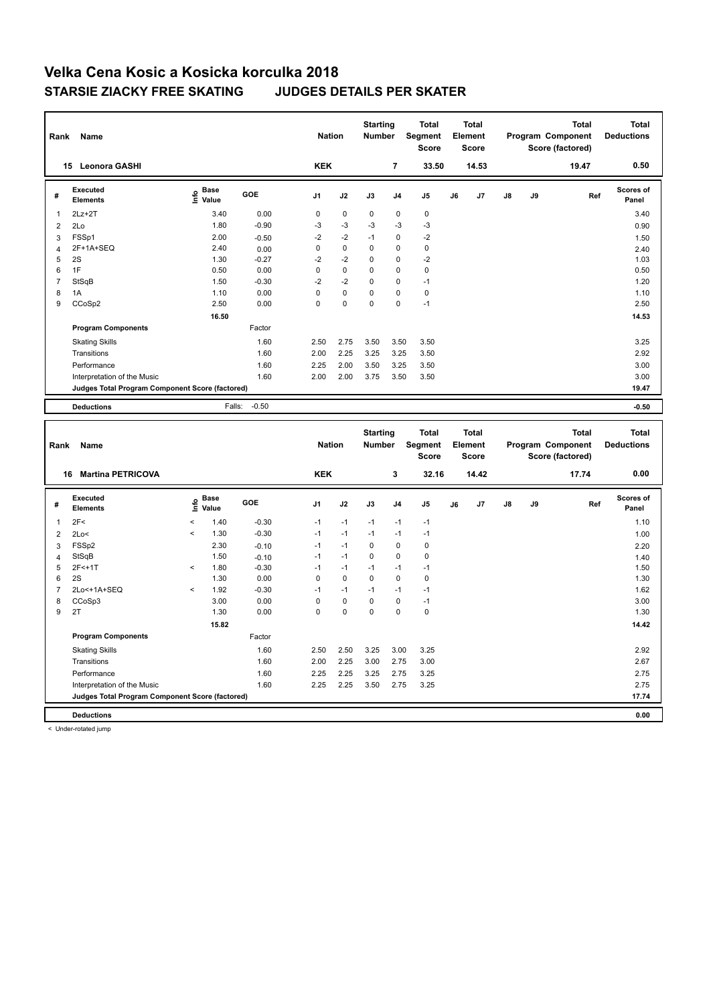| Rank           | Name                                                                 |                                           |                    | <b>Nation</b>  |             | <b>Starting</b><br><b>Number</b> |                | <b>Total</b><br>Segment<br><b>Score</b> |    | Total<br>Element<br><b>Score</b> |    |    | <b>Total</b><br>Program Component<br>Score (factored) |     | <b>Total</b><br><b>Deductions</b> |
|----------------|----------------------------------------------------------------------|-------------------------------------------|--------------------|----------------|-------------|----------------------------------|----------------|-----------------------------------------|----|----------------------------------|----|----|-------------------------------------------------------|-----|-----------------------------------|
|                | 15 Leonora GASHI                                                     |                                           |                    | <b>KEK</b>     |             |                                  | $\overline{7}$ | 33.50                                   |    | 14.53                            |    |    | 19.47                                                 |     | 0.50                              |
| #              | <b>Executed</b><br><b>Elements</b>                                   | $\frac{e}{E}$ Base<br>$\frac{e}{E}$ Value | GOE                | J1             | J2          | J3                               | J <sub>4</sub> | J5                                      | J6 | J7                               | J8 | J9 |                                                       | Ref | Scores of<br>Panel                |
| $\mathbf{1}$   | $2Lz+2T$                                                             | 3.40                                      | 0.00               | $\mathbf 0$    | $\mathbf 0$ | 0                                | $\mathbf 0$    | $\pmb{0}$                               |    |                                  |    |    |                                                       |     | 3.40                              |
| $\overline{2}$ | 2Lo                                                                  | 1.80                                      | $-0.90$            | $-3$           | $-3$        | $-3$                             | $-3$           | $-3$                                    |    |                                  |    |    |                                                       |     | 0.90                              |
| 3              | FSSp1                                                                | 2.00                                      | $-0.50$            | $-2$           | $-2$        | $-1$                             | $\mathbf 0$    | $-2$                                    |    |                                  |    |    |                                                       |     | 1.50                              |
| $\overline{4}$ | 2F+1A+SEQ                                                            | 2.40                                      | 0.00               | 0              | 0           | 0                                | 0              | $\mathbf 0$                             |    |                                  |    |    |                                                       |     | 2.40                              |
| 5              | 2S                                                                   | 1.30                                      | $-0.27$            | $-2$           | $-2$        | 0                                | $\mathbf 0$    | $-2$                                    |    |                                  |    |    |                                                       |     | 1.03                              |
| 6              | 1F                                                                   | 0.50                                      | 0.00               | $\mathbf 0$    | 0           | 0                                | $\mathbf 0$    | $\mathbf 0$                             |    |                                  |    |    |                                                       |     | 0.50                              |
| $\overline{7}$ | StSqB                                                                | 1.50                                      | $-0.30$            | $-2$           | $-2$        | 0                                | $\mathbf 0$    | $-1$                                    |    |                                  |    |    |                                                       |     | 1.20                              |
| 8              | 1A                                                                   | 1.10                                      | 0.00               | $\mathbf 0$    | $\mathbf 0$ | 0                                | 0              | $\mathbf 0$                             |    |                                  |    |    |                                                       |     | 1.10                              |
| 9              | CCoSp2                                                               | 2.50                                      | 0.00               | $\mathbf 0$    | $\mathbf 0$ | 0                                | $\mathbf 0$    | $-1$                                    |    |                                  |    |    |                                                       |     | 2.50                              |
|                |                                                                      | 16.50                                     |                    |                |             |                                  |                |                                         |    |                                  |    |    |                                                       |     | 14.53                             |
|                | <b>Program Components</b>                                            |                                           | Factor             |                |             |                                  |                |                                         |    |                                  |    |    |                                                       |     |                                   |
|                | <b>Skating Skills</b>                                                |                                           | 1.60               | 2.50           | 2.75        | 3.50                             | 3.50           | 3.50                                    |    |                                  |    |    |                                                       |     | 3.25                              |
|                | Transitions                                                          |                                           | 1.60               | 2.00           | 2.25        | 3.25                             | 3.25           | 3.50                                    |    |                                  |    |    |                                                       |     | 2.92                              |
|                | Performance                                                          |                                           | 1.60               | 2.25           | 2.00        | 3.50                             | 3.25           | 3.50                                    |    |                                  |    |    |                                                       |     | 3.00                              |
|                | Interpretation of the Music                                          |                                           | 1.60               | 2.00           | 2.00        | 3.75                             | 3.50           | 3.50                                    |    |                                  |    |    |                                                       |     | 3.00                              |
|                |                                                                      |                                           |                    |                |             |                                  |                |                                         |    |                                  |    |    |                                                       |     | 19.47                             |
|                | Judges Total Program Component Score (factored)                      |                                           |                    |                |             |                                  |                |                                         |    |                                  |    |    |                                                       |     |                                   |
|                | <b>Deductions</b>                                                    | Falls:                                    | $-0.50$            |                |             |                                  |                |                                         |    |                                  |    |    |                                                       |     | $-0.50$                           |
|                |                                                                      |                                           |                    |                |             |                                  |                |                                         |    |                                  |    |    |                                                       |     |                                   |
| Rank           | Name                                                                 |                                           |                    | <b>Nation</b>  |             | <b>Starting</b><br>Number        |                | <b>Total</b><br>Segment                 |    | <b>Total</b><br>Element          |    |    | <b>Total</b><br>Program Component                     |     | <b>Total</b><br><b>Deductions</b> |
|                |                                                                      |                                           |                    |                |             |                                  |                | <b>Score</b>                            |    | <b>Score</b>                     |    |    | Score (factored)                                      |     |                                   |
|                | 16 Martina PETRICOVA                                                 |                                           |                    | <b>KEK</b>     |             |                                  | 3              | 32.16                                   |    | 14.42                            |    |    | 17.74                                                 |     | 0.00                              |
|                | <b>Executed</b>                                                      |                                           |                    |                |             |                                  |                |                                         |    |                                  |    |    |                                                       |     | Scores of                         |
| #              | <b>Elements</b>                                                      | e Base<br>E Value<br>Value                | GOE                | J <sub>1</sub> | J2          | J3                               | J <sub>4</sub> | J5                                      | J6 | J7                               | J8 | J9 |                                                       | Ref | Panel                             |
| 1              | 2F<                                                                  | $\,<$<br>1.40                             | $-0.30$            | $-1$           | $-1$        | $-1$                             | $-1$           | $-1$                                    |    |                                  |    |    |                                                       |     | 1.10                              |
| $\overline{2}$ | 2Lo<                                                                 | 1.30<br>$\,<$                             | $-0.30$            | $-1$           | $-1$        | $-1$                             | $-1$           | $-1$                                    |    |                                  |    |    |                                                       |     | 1.00                              |
| 3              | FSSp2                                                                | 2.30                                      |                    | $-1$           | $-1$        | 0                                | $\pmb{0}$      | $\pmb{0}$                               |    |                                  |    |    |                                                       |     |                                   |
| $\overline{4}$ | StSqB                                                                | 1.50                                      | $-0.10$            | $-1$           | $-1$        | 0                                | 0              | $\mathbf 0$                             |    |                                  |    |    |                                                       |     | 2.20                              |
| 5              | 2F<+1T                                                               | 1.80<br>$\epsilon$                        | $-0.10$<br>$-0.30$ | $-1$           | $-1$        | $-1$                             | $-1$           | $-1$                                    |    |                                  |    |    |                                                       |     | 1.40<br>1.50                      |
| 6              | 2S                                                                   | 1.30                                      | 0.00               | $\mathbf 0$    | $\pmb{0}$   | 0                                | $\mathbf 0$    | $\pmb{0}$                               |    |                                  |    |    |                                                       |     | 1.30                              |
| $\overline{7}$ | 2Lo<+1A+SEQ                                                          | 1.92<br>$\epsilon$                        | $-0.30$            | $-1$           | $-1$        | $-1$                             | $-1$           | $-1$                                    |    |                                  |    |    |                                                       |     | 1.62                              |
| 8              | CCoSp3                                                               | 3.00                                      | 0.00               | $\mathbf 0$    | 0           | 0                                | $\pmb{0}$      | $-1$                                    |    |                                  |    |    |                                                       |     | 3.00                              |
| 9              | 2T                                                                   | 1.30                                      | 0.00               | $\mathbf 0$    | 0           | 0                                | 0              | $\mathbf 0$                             |    |                                  |    |    |                                                       |     | 1.30                              |
|                |                                                                      | 15.82                                     |                    |                |             |                                  |                |                                         |    |                                  |    |    |                                                       |     | 14.42                             |
|                | <b>Program Components</b>                                            |                                           | Factor             |                |             |                                  |                |                                         |    |                                  |    |    |                                                       |     |                                   |
|                |                                                                      |                                           |                    |                |             |                                  |                |                                         |    |                                  |    |    |                                                       |     |                                   |
|                | <b>Skating Skills</b>                                                |                                           | 1.60               | 2.50           | 2.50        | 3.25                             | 3.00           | 3.25                                    |    |                                  |    |    |                                                       |     | 2.92                              |
|                | Transitions                                                          |                                           | 1.60               | 2.00           | 2.25        | 3.00                             | 2.75           | 3.00                                    |    |                                  |    |    |                                                       |     | 2.67                              |
|                | Performance                                                          |                                           | 1.60               | 2.25           | 2.25        | 3.25                             | 2.75           | 3.25                                    |    |                                  |    |    |                                                       |     | 2.75                              |
|                | Interpretation of the Music                                          |                                           | 1.60               | 2.25           | 2.25        | 3.50                             | 2.75           | 3.25                                    |    |                                  |    |    |                                                       |     | 2.75                              |
|                | Judges Total Program Component Score (factored)<br><b>Deductions</b> |                                           |                    |                |             |                                  |                |                                         |    |                                  |    |    |                                                       |     | 17.74<br>0.00                     |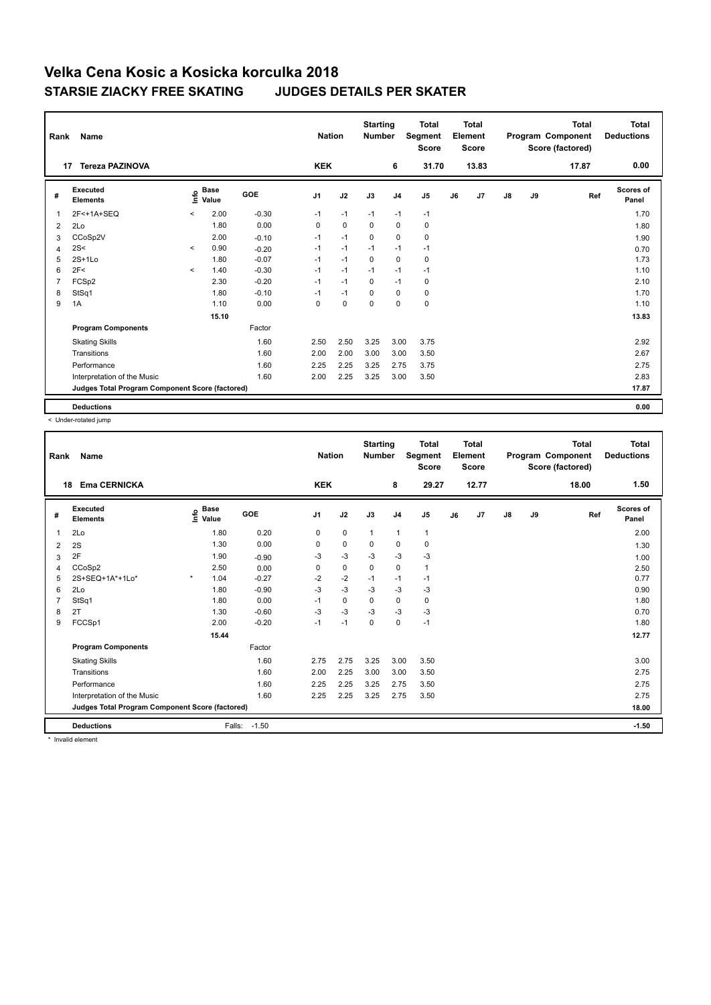|                | Name<br>Rank                                    |         |                      |            |                |             | <b>Starting</b><br><b>Number</b> |                | <b>Total</b><br>Segment<br><b>Score</b> | <b>Total</b><br>Element<br><b>Score</b> |       | Program Component |    | <b>Total</b><br>Score (factored) | <b>Total</b><br><b>Deductions</b> |
|----------------|-------------------------------------------------|---------|----------------------|------------|----------------|-------------|----------------------------------|----------------|-----------------------------------------|-----------------------------------------|-------|-------------------|----|----------------------------------|-----------------------------------|
|                | <b>Tereza PAZINOVA</b><br>17                    |         |                      |            | <b>KEK</b>     |             |                                  | 6              | 31.70                                   |                                         | 13.83 |                   |    | 17.87                            | 0.00                              |
| #              | Executed<br><b>Elements</b>                     | lnfo    | <b>Base</b><br>Value | <b>GOE</b> | J <sub>1</sub> | J2          | J3                               | J <sub>4</sub> | J5                                      | J6                                      | J7    | $\mathsf{J}8$     | J9 | Ref                              | <b>Scores of</b><br>Panel         |
| $\overline{1}$ | 2F<+1A+SEQ                                      | $\prec$ | 2.00                 | $-0.30$    | $-1$           | $-1$        | $-1$                             | $-1$           | $-1$                                    |                                         |       |                   |    |                                  | 1.70                              |
| 2              | 2Lo                                             |         | 1.80                 | 0.00       | 0              | $\mathbf 0$ | $\Omega$                         | $\mathbf 0$    | $\mathbf 0$                             |                                         |       |                   |    |                                  | 1.80                              |
| 3              | CCoSp2V                                         |         | 2.00                 | $-0.10$    | $-1$           | $-1$        | 0                                | 0              | 0                                       |                                         |       |                   |    |                                  | 1.90                              |
| $\overline{4}$ | 2S<                                             | $\prec$ | 0.90                 | $-0.20$    | $-1$           | $-1$        | $-1$                             | $-1$           | $-1$                                    |                                         |       |                   |    |                                  | 0.70                              |
| 5              | $2S+1Lo$                                        |         | 1.80                 | $-0.07$    | $-1$           | $-1$        | 0                                | $\mathbf 0$    | 0                                       |                                         |       |                   |    |                                  | 1.73                              |
| 6              | 2F<                                             | $\prec$ | 1.40                 | $-0.30$    | $-1$           | $-1$        | $-1$                             | $-1$           | $-1$                                    |                                         |       |                   |    |                                  | 1.10                              |
| $\overline{7}$ | FCSp2                                           |         | 2.30                 | $-0.20$    | $-1$           | $-1$        | $\Omega$                         | $-1$           | 0                                       |                                         |       |                   |    |                                  | 2.10                              |
| 8              | StSq1                                           |         | 1.80                 | $-0.10$    | $-1$           | $-1$        | $\Omega$                         | $\mathbf 0$    | $\mathbf 0$                             |                                         |       |                   |    |                                  | 1.70                              |
| 9              | 1A                                              |         | 1.10                 | 0.00       | 0              | $\mathbf 0$ | $\mathbf 0$                      | $\mathbf 0$    | $\mathbf 0$                             |                                         |       |                   |    |                                  | 1.10                              |
|                |                                                 |         | 15.10                |            |                |             |                                  |                |                                         |                                         |       |                   |    |                                  | 13.83                             |
|                | <b>Program Components</b>                       |         |                      | Factor     |                |             |                                  |                |                                         |                                         |       |                   |    |                                  |                                   |
|                | <b>Skating Skills</b>                           |         |                      | 1.60       | 2.50           | 2.50        | 3.25                             | 3.00           | 3.75                                    |                                         |       |                   |    |                                  | 2.92                              |
|                | Transitions                                     |         |                      | 1.60       | 2.00           | 2.00        | 3.00                             | 3.00           | 3.50                                    |                                         |       |                   |    |                                  | 2.67                              |
|                | Performance                                     |         |                      | 1.60       | 2.25           | 2.25        | 3.25                             | 2.75           | 3.75                                    |                                         |       |                   |    |                                  | 2.75                              |
|                | Interpretation of the Music                     |         |                      | 1.60       | 2.00           | 2.25        | 3.25                             | 3.00           | 3.50                                    |                                         |       |                   |    |                                  | 2.83                              |
|                | Judges Total Program Component Score (factored) |         |                      |            |                |             |                                  |                |                                         |                                         |       |                   |    |                                  | 17.87                             |
|                | <b>Deductions</b>                               |         |                      |            |                |             |                                  |                |                                         |                                         |       |                   |    |                                  | 0.00                              |

< Under-rotated jump

|                                                 | <b>Name</b><br>Rank         |         |                                    |         |                |             | <b>Starting</b><br><b>Number</b> |                | <b>Total</b><br>Segment<br><b>Score</b> |    | <b>Total</b><br>Element<br><b>Score</b> |               | <b>Total</b><br>Program Component<br>Score (factored) |       | <b>Total</b><br><b>Deductions</b> |
|-------------------------------------------------|-----------------------------|---------|------------------------------------|---------|----------------|-------------|----------------------------------|----------------|-----------------------------------------|----|-----------------------------------------|---------------|-------------------------------------------------------|-------|-----------------------------------|
| 18                                              | <b>Ema CERNICKA</b>         |         |                                    |         | <b>KEK</b>     |             |                                  | 8              | 29.27                                   |    | 12.77                                   |               |                                                       | 18.00 | 1.50                              |
| #                                               | Executed<br><b>Elements</b> |         | <b>Base</b><br>$\frac{6}{5}$ Value | GOE     | J <sub>1</sub> | J2          | J3                               | J <sub>4</sub> | J <sub>5</sub>                          | J6 | J7                                      | $\mathsf{J}8$ | J9                                                    | Ref   | <b>Scores of</b><br>Panel         |
| 1                                               | 2Lo                         |         | 1.80                               | 0.20    | 0              | $\mathbf 0$ | $\mathbf{1}$                     | $\mathbf{1}$   | $\mathbf{1}$                            |    |                                         |               |                                                       |       | 2.00                              |
| 2                                               | 2S                          |         | 1.30                               | 0.00    | 0              | $\mathbf 0$ | 0                                | 0              | 0                                       |    |                                         |               |                                                       |       | 1.30                              |
| 3                                               | 2F                          |         | 1.90                               | $-0.90$ | -3             | -3          | -3                               | -3             | -3                                      |    |                                         |               |                                                       |       | 1.00                              |
| 4                                               | CCoSp2                      |         | 2.50                               | 0.00    | 0              | $\mathbf 0$ | 0                                | $\mathbf 0$    | $\mathbf{1}$                            |    |                                         |               |                                                       |       | 2.50                              |
| 5                                               | 2S+SEQ+1A*+1Lo*             | $\star$ | 1.04                               | $-0.27$ | $-2$           | $-2$        | $-1$                             | $-1$           | $-1$                                    |    |                                         |               |                                                       |       | 0.77                              |
| 6                                               | 2Lo                         |         | 1.80                               | $-0.90$ | $-3$           | $-3$        | $-3$                             | $-3$           | $-3$                                    |    |                                         |               |                                                       |       | 0.90                              |
|                                                 | StSq1                       |         | 1.80                               | 0.00    | $-1$           | $\mathbf 0$ | $\Omega$                         | 0              | 0                                       |    |                                         |               |                                                       |       | 1.80                              |
| 8                                               | 2T                          |         | 1.30                               | $-0.60$ | $-3$           | $-3$        | $-3$                             | -3             | $-3$                                    |    |                                         |               |                                                       |       | 0.70                              |
| 9                                               | FCCSp1                      |         | 2.00                               | $-0.20$ | $-1$           | $-1$        | 0                                | $\mathbf 0$    | $-1$                                    |    |                                         |               |                                                       |       | 1.80                              |
|                                                 |                             |         | 15.44                              |         |                |             |                                  |                |                                         |    |                                         |               |                                                       |       | 12.77                             |
|                                                 | <b>Program Components</b>   |         |                                    | Factor  |                |             |                                  |                |                                         |    |                                         |               |                                                       |       |                                   |
|                                                 | <b>Skating Skills</b>       |         |                                    | 1.60    | 2.75           | 2.75        | 3.25                             | 3.00           | 3.50                                    |    |                                         |               |                                                       |       | 3.00                              |
|                                                 | Transitions                 |         |                                    | 1.60    | 2.00           | 2.25        | 3.00                             | 3.00           | 3.50                                    |    |                                         |               |                                                       |       | 2.75                              |
|                                                 | Performance                 |         |                                    | 1.60    | 2.25           | 2.25        | 3.25                             | 2.75           | 3.50                                    |    |                                         |               |                                                       |       | 2.75                              |
|                                                 | Interpretation of the Music |         |                                    | 1.60    | 2.25           | 2.25        | 3.25                             | 2.75           | 3.50                                    |    |                                         |               |                                                       |       | 2.75                              |
| Judges Total Program Component Score (factored) |                             |         |                                    |         |                |             |                                  |                |                                         |    |                                         | 18.00         |                                                       |       |                                   |
|                                                 | <b>Deductions</b>           |         | Falls:                             | $-1.50$ |                |             |                                  |                |                                         |    |                                         |               |                                                       |       | $-1.50$                           |

\* Invalid element